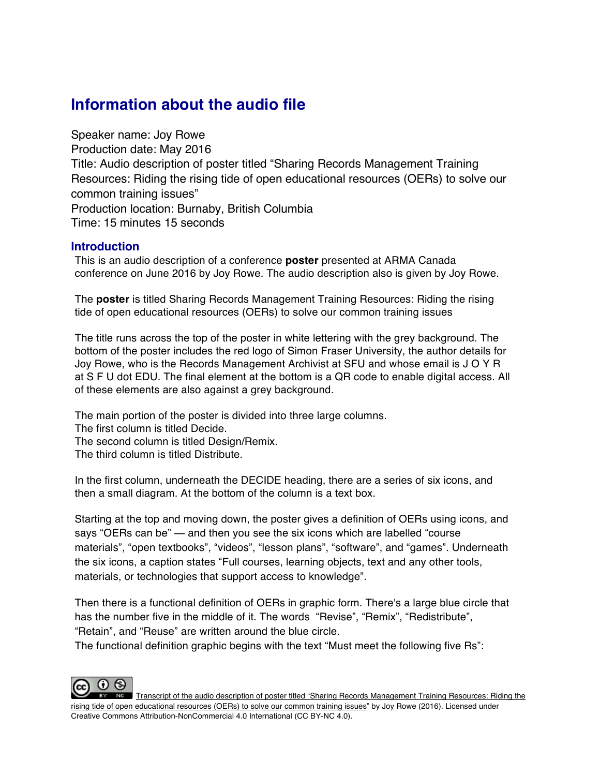## **Information about the audio file**

Speaker name: Joy Rowe Production date: May 2016 Title: Audio description of poster titled "Sharing Records Management Training Resources: Riding the rising tide of open educational resources (OERs) to solve our common training issues" Production location: Burnaby, British Columbia Time: 15 minutes 15 seconds

## **Introduction**

This is an audio description of a conference **poster** presented at ARMA Canada conference on June 2016 by Joy Rowe. The audio description also is given by Joy Rowe.

The **poster** is titled Sharing Records Management Training Resources: Riding the rising tide of open educational resources (OERs) to solve our common training issues

The title runs across the top of the poster in white lettering with the grey background. The bottom of the poster includes the red logo of Simon Fraser University, the author details for Joy Rowe, who is the Records Management Archivist at SFU and whose email is J O Y R at S F U dot EDU. The final element at the bottom is a QR code to enable digital access. All of these elements are also against a grey background.

The main portion of the poster is divided into three large columns. The first column is titled Decide. The second column is titled Design/Remix. The third column is titled Distribute.

In the first column, underneath the DECIDE heading, there are a series of six icons, and then a small diagram. At the bottom of the column is a text box.

Starting at the top and moving down, the poster gives a definition of OERs using icons, and says "OERs can be" — and then you see the six icons which are labelled "course materials", "open textbooks", "videos", "lesson plans", "software", and "games". Underneath the six icons, a caption states "Full courses, learning objects, text and any other tools, materials, or technologies that support access to knowledge".

Then there is a functional definition of OERs in graphic form. There's a large blue circle that has the number five in the middle of it. The words "Revise", "Remix", "Redistribute", "Retain", and "Reuse" are written around the blue circle.

The functional definition graphic begins with the text "Must meet the following five Rs":



Transcript of the audio description of poster titled "Sharing Records Management Training Resources: Riding the rising tide of open educational resources (OERs) to solve our common training issues" by Joy Rowe (2016). Licensed under Creative Commons Attribution-NonCommercial 4.0 International (CC BY-NC 4.0).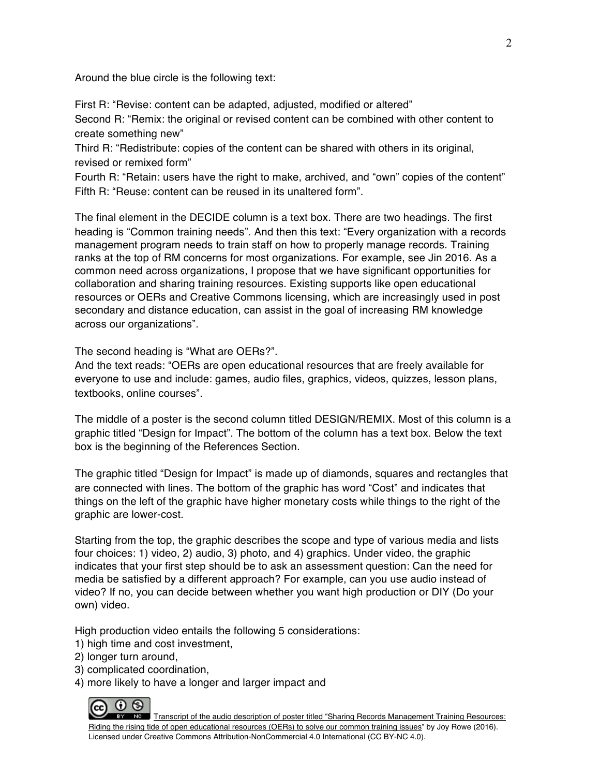Around the blue circle is the following text:

First R: "Revise: content can be adapted, adjusted, modified or altered" Second R: "Remix: the original or revised content can be combined with other content to create something new"

Third R: "Redistribute: copies of the content can be shared with others in its original, revised or remixed form"

Fourth R: "Retain: users have the right to make, archived, and "own" copies of the content" Fifth R: "Reuse: content can be reused in its unaltered form".

The final element in the DECIDE column is a text box. There are two headings. The first heading is "Common training needs". And then this text: "Every organization with a records management program needs to train staff on how to properly manage records. Training ranks at the top of RM concerns for most organizations. For example, see Jin 2016. As a common need across organizations, I propose that we have significant opportunities for collaboration and sharing training resources. Existing supports like open educational resources or OERs and Creative Commons licensing, which are increasingly used in post secondary and distance education, can assist in the goal of increasing RM knowledge across our organizations".

The second heading is "What are OERs?".

And the text reads: "OERs are open educational resources that are freely available for everyone to use and include: games, audio files, graphics, videos, quizzes, lesson plans, textbooks, online courses".

The middle of a poster is the second column titled DESIGN/REMIX. Most of this column is a graphic titled "Design for Impact". The bottom of the column has a text box. Below the text box is the beginning of the References Section.

The graphic titled "Design for Impact" is made up of diamonds, squares and rectangles that are connected with lines. The bottom of the graphic has word "Cost" and indicates that things on the left of the graphic have higher monetary costs while things to the right of the graphic are lower-cost.

Starting from the top, the graphic describes the scope and type of various media and lists four choices: 1) video, 2) audio, 3) photo, and 4) graphics. Under video, the graphic indicates that your first step should be to ask an assessment question: Can the need for media be satisfied by a different approach? For example, can you use audio instead of video? If no, you can decide between whether you want high production or DIY (Do your own) video.

High production video entails the following 5 considerations:

- 1) high time and cost investment,
- 2) longer turn around,
- 3) complicated coordination,
- 4) more likely to have a longer and larger impact and



EY NO Transcript of the audio description of poster titled "Sharing Records Management Training Resources: Riding the rising tide of open educational resources (OERs) to solve our common training issues" by Joy Rowe (2016). Licensed under Creative Commons Attribution-NonCommercial 4.0 International (CC BY-NC 4.0).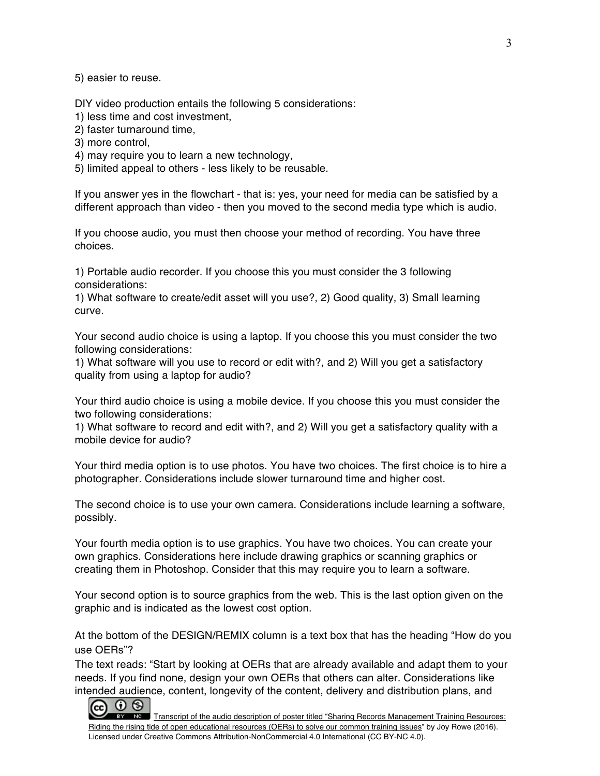5) easier to reuse.

DIY video production entails the following 5 considerations:

1) less time and cost investment,

2) faster turnaround time,

3) more control,

4) may require you to learn a new technology,

5) limited appeal to others - less likely to be reusable.

If you answer yes in the flowchart - that is: yes, your need for media can be satisfied by a different approach than video - then you moved to the second media type which is audio.

If you choose audio, you must then choose your method of recording. You have three choices.

1) Portable audio recorder. If you choose this you must consider the 3 following considerations:

1) What software to create/edit asset will you use?, 2) Good quality, 3) Small learning curve.

Your second audio choice is using a laptop. If you choose this you must consider the two following considerations:

1) What software will you use to record or edit with?, and 2) Will you get a satisfactory quality from using a laptop for audio?

Your third audio choice is using a mobile device. If you choose this you must consider the two following considerations:

1) What software to record and edit with?, and 2) Will you get a satisfactory quality with a mobile device for audio?

Your third media option is to use photos. You have two choices. The first choice is to hire a photographer. Considerations include slower turnaround time and higher cost.

The second choice is to use your own camera. Considerations include learning a software, possibly.

Your fourth media option is to use graphics. You have two choices. You can create your own graphics. Considerations here include drawing graphics or scanning graphics or creating them in Photoshop. Consider that this may require you to learn a software.

Your second option is to source graphics from the web. This is the last option given on the graphic and is indicated as the lowest cost option.

At the bottom of the DESIGN/REMIX column is a text box that has the heading "How do you use OERs"?

The text reads: "Start by looking at OERs that are already available and adapt them to your needs. If you find none, design your own OERs that others can alter. Considerations like

EY NO Transcript of the audio description of poster titled "Sharing Records Management Training Resources: Riding the rising tide of open educational resources (OERs) to solve our common training issues" by Joy Rowe (2016). Licensed under Creative Commons Attribution-NonCommercial 4.0 International (CC BY-NC 4.0). intended audience, content, longevity of the content, delivery and distribution plans, and<br>  $\bigodot$   $\bigodot$   $\bigodot$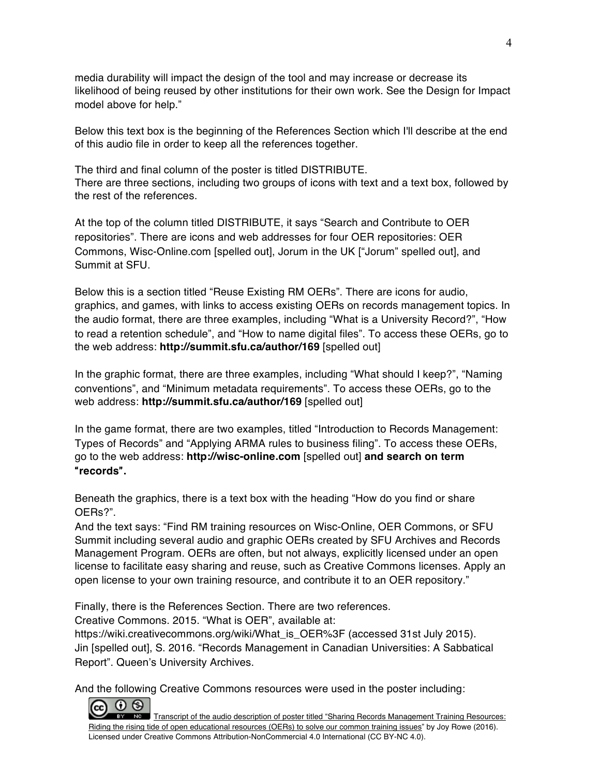media durability will impact the design of the tool and may increase or decrease its likelihood of being reused by other institutions for their own work. See the Design for Impact model above for help."

Below this text box is the beginning of the References Section which I'll describe at the end of this audio file in order to keep all the references together.

The third and final column of the poster is titled DISTRIBUTE. There are three sections, including two groups of icons with text and a text box, followed by the rest of the references.

At the top of the column titled DISTRIBUTE, it says "Search and Contribute to OER repositories". There are icons and web addresses for four OER repositories: OER Commons, Wisc-Online.com [spelled out], Jorum in the UK ["Jorum" spelled out], and Summit at SFU.

Below this is a section titled "Reuse Existing RM OERs". There are icons for audio, graphics, and games, with links to access existing OERs on records management topics. In the audio format, there are three examples, including "What is a University Record?", "How to read a retention schedule", and "How to name digital files". To access these OERs, go to the web address: **http://summit.sfu.ca/author/169** [spelled out]

In the graphic format, there are three examples, including "What should I keep?", "Naming conventions", and "Minimum metadata requirements". To access these OERs, go to the web address: **http://summit.sfu.ca/author/169** [spelled out]

In the game format, there are two examples, titled "Introduction to Records Management: Types of Records" and "Applying ARMA rules to business filing". To access these OERs, go to the web address: **http://wisc-online.com** [spelled out] **and search on term** "**records**"**.**

Beneath the graphics, there is a text box with the heading "How do you find or share OERs?".

And the text says: "Find RM training resources on Wisc-Online, OER Commons, or SFU Summit including several audio and graphic OERs created by SFU Archives and Records Management Program. OERs are often, but not always, explicitly licensed under an open license to facilitate easy sharing and reuse, such as Creative Commons licenses. Apply an open license to your own training resource, and contribute it to an OER repository."

Finally, there is the References Section. There are two references.

Creative Commons. 2015. "What is OER", available at:

https://wiki.creativecommons.org/wiki/What\_is\_OER%3F (accessed 31st July 2015). Jin [spelled out], S. 2016. "Records Management in Canadian Universities: A Sabbatical Report". Queen's University Archives.

And the following Creative Commons resources were used in the poster including: